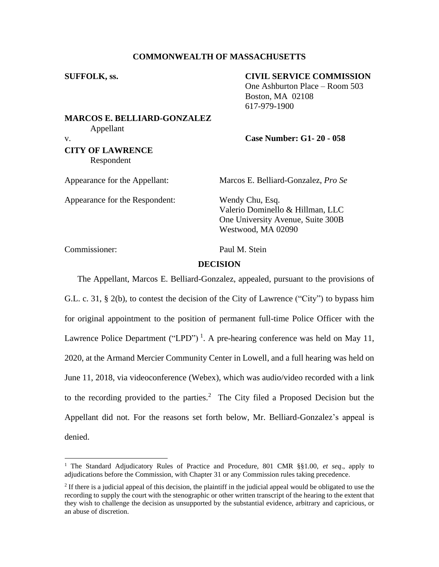## **COMMONWEALTH OF MASSACHUSETTS**

#### **SUFFOLK, ss. CIVIL SERVICE COMMISSION**

One Ashburton Place – Room 503 Boston, MA 02108 617-979-1900

# **MARCOS E. BELLIARD-GONZALEZ**  Appellant

## v. **Case Number: G1- 20 - 058**

## **CITY OF LAWRENCE** Respondent

Appearance for the Appellant: Marcos E. Belliard-Gonzalez, *Pro Se*

Appearance for the Respondent: Wendy Chu, Esq.

Valerio Dominello & Hillman, LLC One University Avenue, Suite 300B Westwood, MA 02090

Commissioner: Paul M. Stein

## **DECISION**

The Appellant, Marcos E. Belliard-Gonzalez, appealed, pursuant to the provisions of G.L. c. 31, § 2(b), to contest the decision of the City of Lawrence ("City") to bypass him for original appointment to the position of permanent full-time Police Officer with the Lawrence Police Department ("LPD")<sup>1</sup>. A pre-hearing conference was held on May 11, 2020, at the Armand Mercier Community Center in Lowell, and a full hearing was held on June 11, 2018, via videoconference (Webex), which was audio/video recorded with a link to the recording provided to the parties.<sup>2</sup> The City filed a Proposed Decision but the Appellant did not. For the reasons set forth below, Mr. Belliard-Gonzalez's appeal is denied.

<sup>1</sup> The Standard Adjudicatory Rules of Practice and Procedure, 801 CMR §§1.00, *et seq*., apply to adjudications before the Commission, with Chapter 31 or any Commission rules taking precedence.

 $<sup>2</sup>$  If there is a judicial appeal of this decision, the plaintiff in the judicial appeal would be obligated to use the</sup> recording to supply the court with the stenographic or other written transcript of the hearing to the extent that they wish to challenge the decision as unsupported by the substantial evidence, arbitrary and capricious, or an abuse of discretion.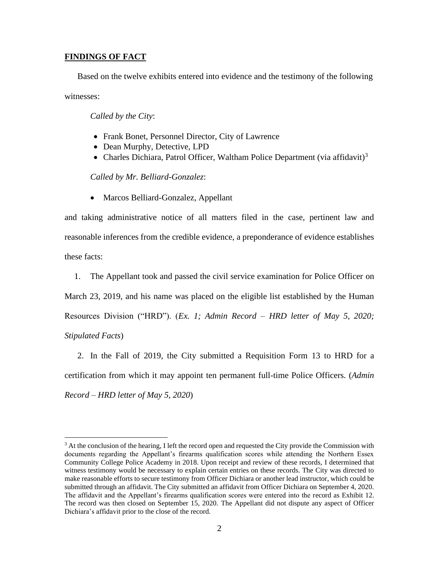## **FINDINGS OF FACT**

Based on the twelve exhibits entered into evidence and the testimony of the following witnesses:

*Called by the City*:

- Frank Bonet, Personnel Director, City of Lawrence
- Dean Murphy, Detective, LPD
- Charles Dichiara, Patrol Officer, Waltham Police Department (via affidavit)<sup>3</sup>

*Called by Mr. Belliard-Gonzalez*:

• Marcos Belliard-Gonzalez, Appellant

and taking administrative notice of all matters filed in the case, pertinent law and reasonable inferences from the credible evidence, a preponderance of evidence establishes these facts:

1. The Appellant took and passed the civil service examination for Police Officer on

March 23, 2019, and his name was placed on the eligible list established by the Human

Resources Division ("HRD"). (*Ex. 1; Admin Record – HRD letter of May 5, 2020;* 

*Stipulated Facts*)

2. In the Fall of 2019, the City submitted a Requisition Form 13 to HRD for a certification from which it may appoint ten permanent full-time Police Officers. (*Admin Record – HRD letter of May 5, 2020*)

 $3$  At the conclusion of the hearing, I left the record open and requested the City provide the Commission with documents regarding the Appellant's firearms qualification scores while attending the Northern Essex Community College Police Academy in 2018. Upon receipt and review of these records, I determined that witness testimony would be necessary to explain certain entries on these records. The City was directed to make reasonable efforts to secure testimony from Officer Dichiara or another lead instructor, which could be submitted through an affidavit. The City submitted an affidavit from Officer Dichiara on September 4, 2020. The affidavit and the Appellant's firearms qualification scores were entered into the record as Exhibit 12. The record was then closed on September 15, 2020. The Appellant did not dispute any aspect of Officer Dichiara's affidavit prior to the close of the record.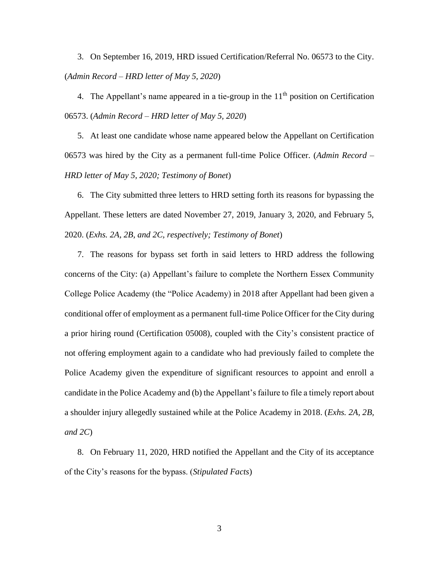3. On September 16, 2019, HRD issued Certification/Referral No. 06573 to the City. (*Admin Record – HRD letter of May 5, 2020*)

4. The Appellant's name appeared in a tie-group in the  $11<sup>th</sup>$  position on Certification 06573. (*Admin Record – HRD letter of May 5, 2020*)

5. At least one candidate whose name appeared below the Appellant on Certification 06573 was hired by the City as a permanent full-time Police Officer. (*Admin Record – HRD letter of May 5, 2020; Testimony of Bonet*)

6. The City submitted three letters to HRD setting forth its reasons for bypassing the Appellant. These letters are dated November 27, 2019, January 3, 2020, and February 5, 2020. (*Exhs. 2A, 2B, and 2C, respectively; Testimony of Bonet*)

7. The reasons for bypass set forth in said letters to HRD address the following concerns of the City: (a) Appellant's failure to complete the Northern Essex Community College Police Academy (the "Police Academy) in 2018 after Appellant had been given a conditional offer of employment as a permanent full-time Police Officer for the City during a prior hiring round (Certification 05008), coupled with the City's consistent practice of not offering employment again to a candidate who had previously failed to complete the Police Academy given the expenditure of significant resources to appoint and enroll a candidate in the Police Academy and (b) the Appellant's failure to file a timely report about a shoulder injury allegedly sustained while at the Police Academy in 2018. (*Exhs. 2A, 2B, and 2C*)

8. On February 11, 2020, HRD notified the Appellant and the City of its acceptance of the City's reasons for the bypass. (*Stipulated Facts*)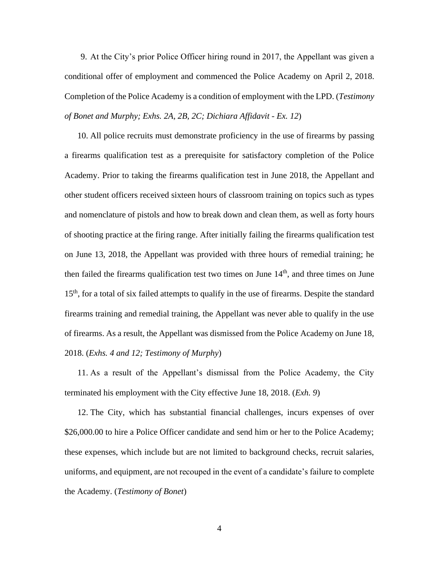9. At the City's prior Police Officer hiring round in 2017, the Appellant was given a conditional offer of employment and commenced the Police Academy on April 2, 2018. Completion of the Police Academy is a condition of employment with the LPD. (*Testimony of Bonet and Murphy; Exhs. 2A, 2B, 2C; Dichiara Affidavit - Ex. 12*)

10. All police recruits must demonstrate proficiency in the use of firearms by passing a firearms qualification test as a prerequisite for satisfactory completion of the Police Academy. Prior to taking the firearms qualification test in June 2018, the Appellant and other student officers received sixteen hours of classroom training on topics such as types and nomenclature of pistols and how to break down and clean them, as well as forty hours of shooting practice at the firing range. After initially failing the firearms qualification test on June 13, 2018, the Appellant was provided with three hours of remedial training; he then failed the firearms qualification test two times on June  $14<sup>th</sup>$ , and three times on June 15<sup>th</sup>, for a total of six failed attempts to qualify in the use of firearms. Despite the standard firearms training and remedial training, the Appellant was never able to qualify in the use of firearms. As a result, the Appellant was dismissed from the Police Academy on June 18, 2018. (*Exhs. 4 and 12; Testimony of Murphy*)

11. As a result of the Appellant's dismissal from the Police Academy, the City terminated his employment with the City effective June 18, 2018. (*Exh. 9*)

12. The City, which has substantial financial challenges, incurs expenses of over \$26,000.00 to hire a Police Officer candidate and send him or her to the Police Academy; these expenses, which include but are not limited to background checks, recruit salaries, uniforms, and equipment, are not recouped in the event of a candidate's failure to complete the Academy. (*Testimony of Bonet*)

4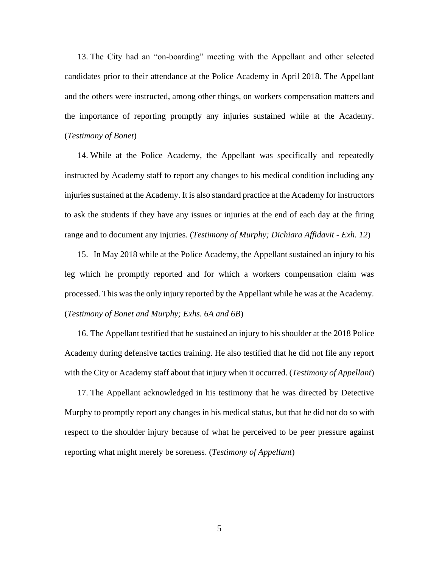13. The City had an "on-boarding" meeting with the Appellant and other selected candidates prior to their attendance at the Police Academy in April 2018. The Appellant and the others were instructed, among other things, on workers compensation matters and the importance of reporting promptly any injuries sustained while at the Academy. (*Testimony of Bonet*)

14. While at the Police Academy, the Appellant was specifically and repeatedly instructed by Academy staff to report any changes to his medical condition including any injuries sustained at the Academy. It is also standard practice at the Academy for instructors to ask the students if they have any issues or injuries at the end of each day at the firing range and to document any injuries. (*Testimony of Murphy; Dichiara Affidavit - Exh. 12*)

15. In May 2018 while at the Police Academy, the Appellant sustained an injury to his leg which he promptly reported and for which a workers compensation claim was processed. This was the only injury reported by the Appellant while he was at the Academy. (*Testimony of Bonet and Murphy; Exhs. 6A and 6B*)

16. The Appellant testified that he sustained an injury to his shoulder at the 2018 Police Academy during defensive tactics training. He also testified that he did not file any report with the City or Academy staff about that injury when it occurred. (*Testimony of Appellant*)

17. The Appellant acknowledged in his testimony that he was directed by Detective Murphy to promptly report any changes in his medical status, but that he did not do so with respect to the shoulder injury because of what he perceived to be peer pressure against reporting what might merely be soreness. (*Testimony of Appellant*)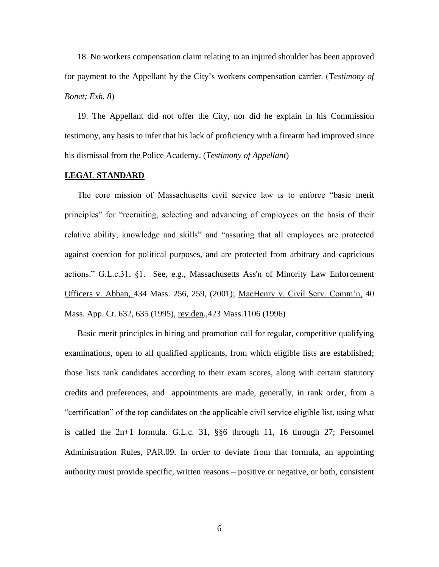18. No workers compensation claim relating to an injured shoulder has been approved for payment to the Appellant by the City's workers compensation carrier. (T*estimony of Bonet; Exh. 8*)

19. The Appellant did not offer the City, nor did he explain in his Commission testimony, any basis to infer that his lack of proficiency with a firearm had improved since his dismissal from the Police Academy. (*Testimony of Appellant*)

#### **LEGAL STANDARD**

The core mission of Massachusetts civil service law is to enforce "basic merit principles" for "recruiting, selecting and advancing of employees on the basis of their relative ability, knowledge and skills" and "assuring that all employees are protected against coercion for political purposes, and are protected from arbitrary and capricious actions." G.L.c.31, §1. See, e.g., [Massachusetts Ass'n of Minority Law Enforcement](http://web2.westlaw.com/find/default.wl?mt=Massachusetts&db=578&rs=WLW15.04&tc=-1&rp=%2ffind%2fdefault.wl&findtype=Y&ordoc=2029136022&serialnum=2001441097&vr=2.0&fn=_top&sv=Split&tf=-1&pbc=70F732C1&utid=1)  Officers v. Abban, [434 Mass. 256, 259, \(2001\);](http://web2.westlaw.com/find/default.wl?mt=Massachusetts&db=578&rs=WLW15.04&tc=-1&rp=%2ffind%2fdefault.wl&findtype=Y&ordoc=2029136022&serialnum=2001441097&vr=2.0&fn=_top&sv=Split&tf=-1&pbc=70F732C1&utid=1) MacHenry v. Civil Serv. Comm'n, 40 Mass. App. Ct. 632, 635 (1995), rev.den., 423 Mass. 1106 (1996)

Basic merit principles in hiring and promotion call for regular, competitive qualifying examinations, open to all qualified applicants, from which eligible lists are established; those lists rank candidates according to their exam scores, along with certain statutory credits and preferences, and appointments are made, generally, in rank order, from a "certification" of the top candidates on the applicable civil service eligible list, using what is called the 2n+1 formula. G.L.c. 31, §§6 through 11, 16 through 27; Personnel Administration Rules, PAR.09. In order to deviate from that formula, an appointing authority must provide specific, written reasons – positive or negative, or both, consistent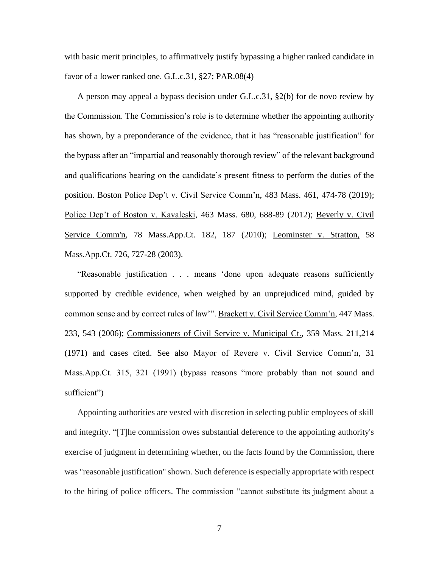with basic merit principles, to affirmatively justify bypassing a higher ranked candidate in favor of a lower ranked one. G.L.c.31, §27; PAR.08(4)

A person may appeal a bypass decision under G.L.c.31,  $\S2(b)$  for de novo review by the Commission. The Commission's role is to determine whether the appointing authority has shown, by a preponderance of the evidence, that it has "reasonable justification" for the bypass after an "impartial and reasonably thorough review" of the relevant background and qualifications bearing on the candidate's present fitness to perform the duties of the position. Boston Police Dep't v. Civil Service Comm'n, 483 Mass. 461, 474-78 (2019); Police Dep't of Boston v. Kavaleski, 463 Mass. 680, 688-89 (2012); [Beverly v. Civil](http://web2.westlaw.com/find/default.wl?mt=Massachusetts&db=578&rs=WLW15.04&tc=-1&rp=%2ffind%2fdefault.wl&findtype=Y&ordoc=2029136022&serialnum=2023501172&vr=2.0&fn=_top&sv=Split&tf=-1&pbc=70F732C1&utid=1)  [Service Comm'n, 78 Mass.App.Ct. 182, 187 \(2010\);](http://web2.westlaw.com/find/default.wl?mt=Massachusetts&db=578&rs=WLW15.04&tc=-1&rp=%2ffind%2fdefault.wl&findtype=Y&ordoc=2029136022&serialnum=2023501172&vr=2.0&fn=_top&sv=Split&tf=-1&pbc=70F732C1&utid=1) Leominster v. Stratton, 58 Mass.App.Ct. 726, 727-28 (2003).

"Reasonable justification . . . means 'done upon adequate reasons sufficiently supported by credible evidence, when weighed by an unprejudiced mind, guided by common sense and by correct rules of law"". Brackett v. Civil Service Comm'n, 447 Mass. 233, 543 (2006); Commissioners of Civil Service v. Municipal Ct., 359 Mass. 211,214 (1971) and cases cited. See also Mayor of Revere v. Civil Service Comm'n, 31 Mass.App.Ct. 315, 321 (1991) (bypass reasons "more probably than not sound and sufficient")

Appointing authorities are vested with discretion in selecting public employees of skill and integrity. "[T]he commission owes substantial deference to the appointing authority's exercise of judgment in determining whether, on the facts found by the Commission, there was "reasonable justification" shown. Such deference is especially appropriate with respect to the hiring of police officers. The commission "cannot substitute its judgment about a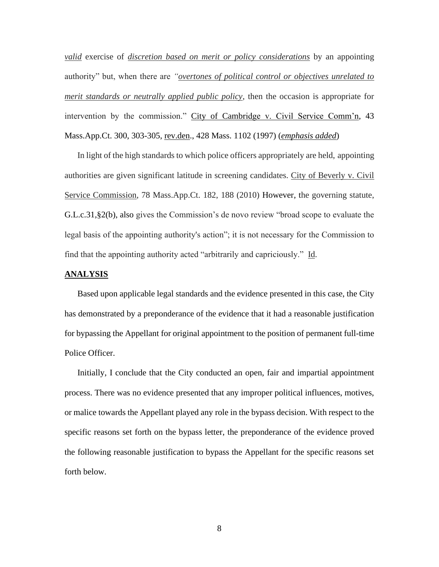*valid* exercise of *discretion based on merit or policy considerations* by an appointing authority" but, when there are *"overtones of political control or objectives unrelated to merit standards or neutrally applied public policy*, then the occasion is appropriate for intervention by the commission." City of Cambridge v. Civil Service Comm'n, 43 Mass.App.Ct. 300, 303-305, rev.den., 428 Mass. 1102 (1997) (*emphasis added*)

In light of the high standards to which police officers appropriately are held, appointing authorities are given significant latitude in screening candidates. City of Beverly v. Civil Service Commission, 78 Mass.App.Ct. 182, 188 (2010) However, the governing statute, [G.L.c.31,§2\(b\),](https://1.next.westlaw.com/Link/Document/FullText?findType=L&pubNum=1000042&cite=MAST31S2&originatingDoc=Ib21af0ded3bd11d99439b076ef9ec4de&refType=LQ&originationContext=document&transitionType=DocumentItem&contextData=(sc.History*oc.UserEnteredCitation)) also gives the Commission's de novo review "broad scope to evaluate the legal basis of the appointing authority's action"; it is not necessary for the Commission to find that the appointing authority acted "arbitrarily and capriciously." Id.

#### **ANALYSIS**

Based upon applicable legal standards and the evidence presented in this case, the City has demonstrated by a preponderance of the evidence that it had a reasonable justification for bypassing the Appellant for original appointment to the position of permanent full-time Police Officer.

Initially, I conclude that the City conducted an open, fair and impartial appointment process. There was no evidence presented that any improper political influences, motives, or malice towards the Appellant played any role in the bypass decision. With respect to the specific reasons set forth on the bypass letter, the preponderance of the evidence proved the following reasonable justification to bypass the Appellant for the specific reasons set forth below.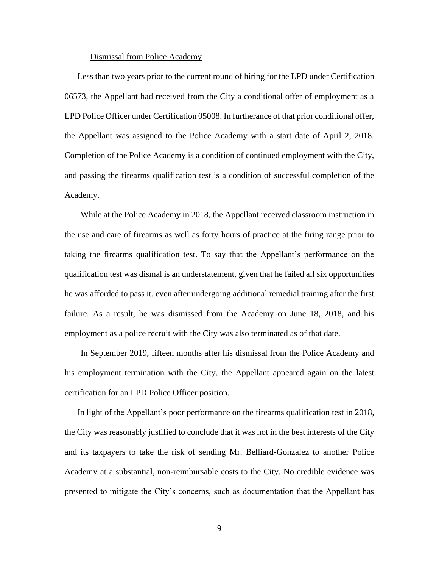#### Dismissal from Police Academy

Less than two years prior to the current round of hiring for the LPD under Certification 06573, the Appellant had received from the City a conditional offer of employment as a LPD Police Officer under Certification 05008. In furtherance of that prior conditional offer, the Appellant was assigned to the Police Academy with a start date of April 2, 2018. Completion of the Police Academy is a condition of continued employment with the City, and passing the firearms qualification test is a condition of successful completion of the Academy.

While at the Police Academy in 2018, the Appellant received classroom instruction in the use and care of firearms as well as forty hours of practice at the firing range prior to taking the firearms qualification test. To say that the Appellant's performance on the qualification test was dismal is an understatement, given that he failed all six opportunities he was afforded to pass it, even after undergoing additional remedial training after the first failure. As a result, he was dismissed from the Academy on June 18, 2018, and his employment as a police recruit with the City was also terminated as of that date.

In September 2019, fifteen months after his dismissal from the Police Academy and his employment termination with the City, the Appellant appeared again on the latest certification for an LPD Police Officer position.

In light of the Appellant's poor performance on the firearms qualification test in 2018, the City was reasonably justified to conclude that it was not in the best interests of the City and its taxpayers to take the risk of sending Mr. Belliard-Gonzalez to another Police Academy at a substantial, non-reimbursable costs to the City. No credible evidence was presented to mitigate the City's concerns, such as documentation that the Appellant has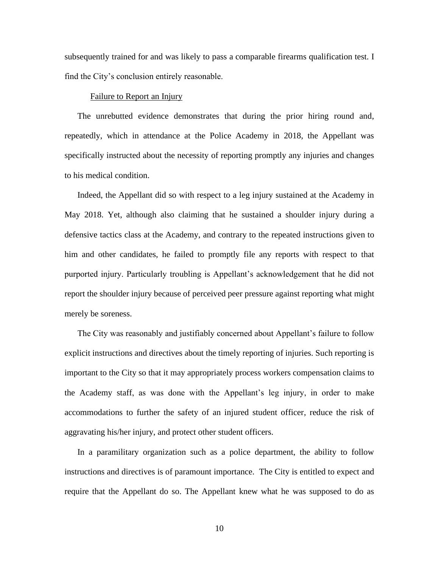subsequently trained for and was likely to pass a comparable firearms qualification test. I find the City's conclusion entirely reasonable.

#### Failure to Report an Injury

The unrebutted evidence demonstrates that during the prior hiring round and, repeatedly, which in attendance at the Police Academy in 2018, the Appellant was specifically instructed about the necessity of reporting promptly any injuries and changes to his medical condition.

Indeed, the Appellant did so with respect to a leg injury sustained at the Academy in May 2018. Yet, although also claiming that he sustained a shoulder injury during a defensive tactics class at the Academy, and contrary to the repeated instructions given to him and other candidates, he failed to promptly file any reports with respect to that purported injury. Particularly troubling is Appellant's acknowledgement that he did not report the shoulder injury because of perceived peer pressure against reporting what might merely be soreness.

The City was reasonably and justifiably concerned about Appellant's failure to follow explicit instructions and directives about the timely reporting of injuries. Such reporting is important to the City so that it may appropriately process workers compensation claims to the Academy staff, as was done with the Appellant's leg injury, in order to make accommodations to further the safety of an injured student officer, reduce the risk of aggravating his/her injury, and protect other student officers.

In a paramilitary organization such as a police department, the ability to follow instructions and directives is of paramount importance. The City is entitled to expect and require that the Appellant do so. The Appellant knew what he was supposed to do as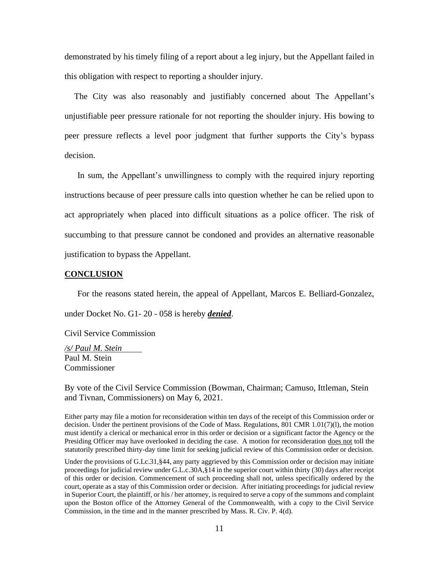demonstrated by his timely filing of a report about a leg injury, but the Appellant failed in this obligation with respect to reporting a shoulder injury.

The City was also reasonably and justifiably concerned about The Appellant's unjustifiable peer pressure rationale for not reporting the shoulder injury. His bowing to peer pressure reflects a level poor judgment that further supports the City's bypass decision.

In sum, the Appellant's unwillingness to comply with the required injury reporting instructions because of peer pressure calls into question whether he can be relied upon to act appropriately when placed into difficult situations as a police officer. The risk of succumbing to that pressure cannot be condoned and provides an alternative reasonable justification to bypass the Appellant.

#### **CONCLUSION**

For the reasons stated herein, the appeal of Appellant, Marcos E. Belliard-Gonzalez,

under Docket No. G1- 20 - 058 is hereby *denied*.

Civil Service Commission

*/s/ Paul M. Stein* Paul M. Stein Commissioner

By vote of the Civil Service Commission (Bowman, Chairman; Camuso, Ittleman, Stein and Tivnan, Commissioners) on May 6, 2021.

Either party may file a motion for reconsideration within ten days of the receipt of this Commission order or decision. Under the pertinent provisions of the Code of Mass. Regulations, 801 CMR 1.01(7)(l), the motion must identify a clerical or mechanical error in this order or decision or a significant factor the Agency or the Presiding Officer may have overlooked in deciding the case. A motion for reconsideration does not toll the statutorily prescribed thirty-day time limit for seeking judicial review of this Commission order or decision.

Under the provisions of G.Lc.31,§44, any party aggrieved by this Commission order or decision may initiate proceedings for judicial review under G.L.c.30A,§14 in the superior court within thirty (30) days after receipt of this order or decision. Commencement of such proceeding shall not, unless specifically ordered by the court, operate as a stay of this Commission order or decision. After initiating proceedings for judicial review in Superior Court, the plaintiff, or his / her attorney, is required to serve a copy of the summons and complaint upon the Boston office of the Attorney General of the Commonwealth, with a copy to the Civil Service Commission, in the time and in the manner prescribed by Mass. R. Civ. P. 4(d).